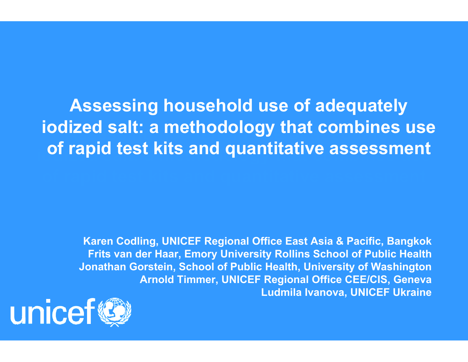**Assessment of the USA of Adequate in the set of also consider the continuities di rapiu test nits and quantitative assessment Assessing household use of adequately iodized salt: a methodology that combines use of rapid test kits and quantitative assessment**

**Karen Codling, UNICEF Regional Office East Asia & Pacific, Bangkok Frits van der Haar, Emory University Rollins School of Public Health Jonathan Gorstein, School of Public Health, University of Washington Arnold Timmer, UNICEF Regional Office CEE/CIS, Geneva Ludmila Ivanova, UNICEF Ukraine**

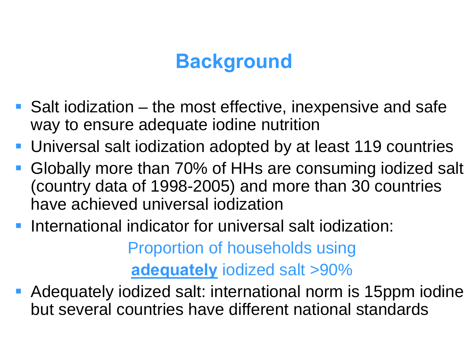## **Background**

- Salt iodization the most effective, inexpensive and safe way to ensure adequate iodine nutrition
- Universal salt iodization adopted by at least 119 countries
- Globally more than 70% of HHs are consuming iodized salt (country data of 1998-2005) and more than 30 countries have achieved universal iodization
- **International indicator for universal salt iodization:** Proportion of households using **adequately** iodized salt >90%
- Adequately iodized salt: international norm is 15ppm iodine but several countries have different national standards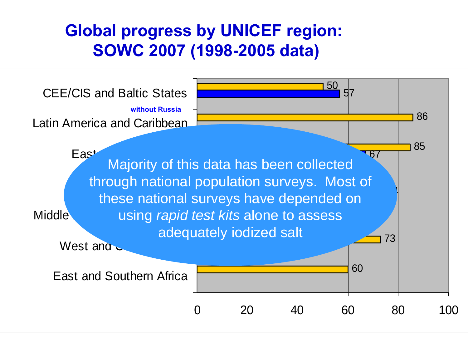#### **Global progress by UNICEF region: SOWC 2007 (1998-2005 data)**

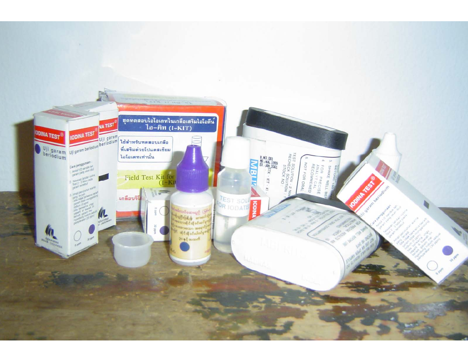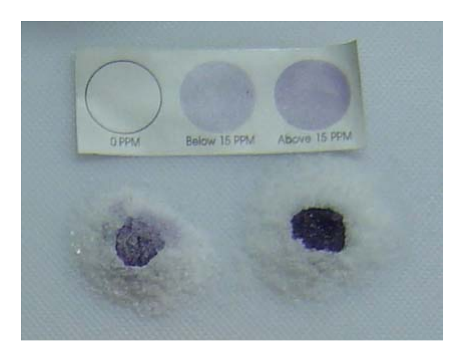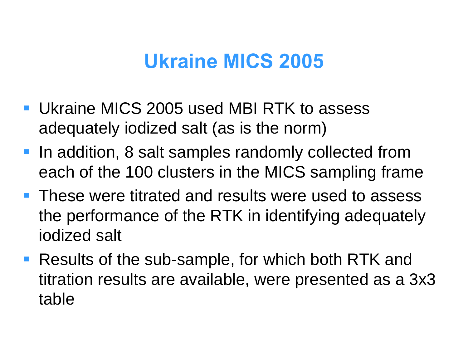## **Ukraine MICS 2005**

- Ukraine MICS 2005 used MBI RTK to assess adequately iodized salt (as is the norm)
- **If and interpoon**, 8 salt samples randomly collected from each of the 100 clusters in the MICS sampling frame
- **These were titrated and results were used to assess** the performance of the RTK in identifying adequately iodized salt
- Results of the sub-sample, for which both RTK and titration results are available, were presented as a 3x3 table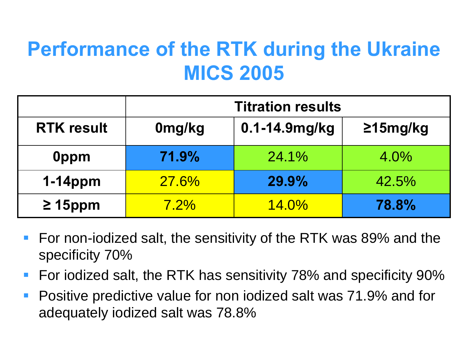# **Performance of the RTK during the Ukraine MICS 2005**

|                   | <b>Titration results</b> |               |                |
|-------------------|--------------------------|---------------|----------------|
| <b>RTK result</b> | 0mg/kg                   | 0.1-14.9mg/kg | $\geq$ 15mg/kg |
| 0ppm              | 71.9%                    | 24.1%         | $4.0\%$        |
| $1-14$ ppm        | $27.6\%$                 | 29.9%         | 42.5%          |
| $\geq 15$ ppm     | $7.2\%$                  | $14.0\%$      | 78.8%          |

- $\mathcal{L}_{\mathcal{A}}$  For non-iodized salt, the sensitivity of the RTK was 89% and the specificity 70%
- $\mathcal{L}_{\mathcal{A}}$ For iodized salt, the RTK has sensitivity 78% and specificity 90%
- Positive predictive value for non iodized salt was 71.9% and for adequately iodized salt was 78.8%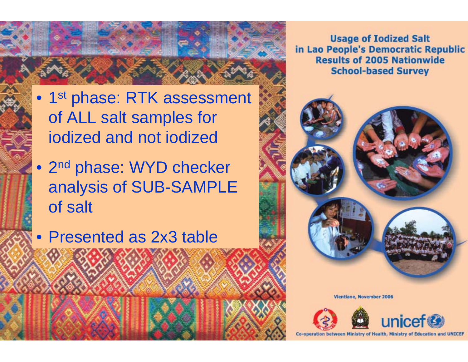• 1st phase: RTK assessment of ALL salt samples for iodized and not iodized

- $\bullet$  2nd phase: WYD checker analysis of SUB-SAMPLE of salt
- Presented as 2x3 table

**Usage of Iodized Salt** in Lao People's Democratic Republic **Results of 2005 Nationwide School-based Survey** 

Vientiane, November 2006



**Ministry of Education and UNICEF**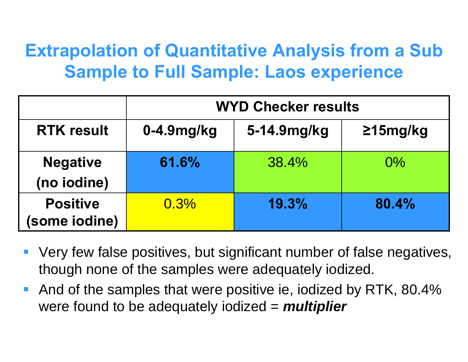### **Extrapolation of Quantitative Analysis from a Sub Sample to Full Sample: Laos experience**

|                                  | <b>WYD Checker results</b> |             |                |
|----------------------------------|----------------------------|-------------|----------------|
| <b>RTK result</b>                | $0-4.9$ mg/kg              | 5-14.9mg/kg | $\geq$ 15mg/kg |
| <b>Negative</b><br>(no iodine)   | 61.6%                      | 38.4%       | $0\%$          |
| <b>Positive</b><br>(some iodine) | 0.3%                       | 19.3%       | 80.4%          |

- T. Very few false positives, but significant number of false negatives, though none of the samples were adequately iodized.
- $\left\lfloor \cdot \right\rfloor$  And of the samples that were positive ie, iodized by RTK, 80.4% were found to be adequately iodized = *multiplier*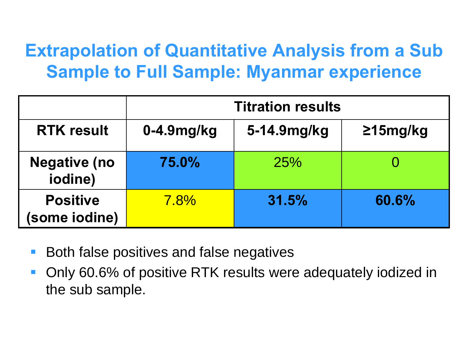### **Extrapolation of Quantitative Analysis from a Sub Sample to Full Sample: Myanmar experience**

|                                  | <b>Titration results</b> |             |                |
|----------------------------------|--------------------------|-------------|----------------|
| <b>RTK result</b>                | $0-4.9$ mg/kg            | 5-14.9mg/kg | $\geq$ 15mg/kg |
| <b>Negative (no</b><br>iodine)   | 75.0%                    | 25%         |                |
| <b>Positive</b><br>(some iodine) | 7.8%                     | 31.5%       | 60.6%          |

- T. Both false positives and false negatives
- $\mathcal{L}_{\mathcal{A}}$  Only 60.6% of positive RTK results were adequately iodized in the sub sample.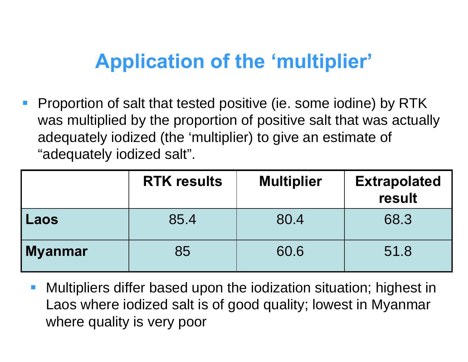## **Application of the 'multiplier'**

p. Proportion of salt that tested positive (ie. some iodine) by RTK was multiplied by the proportion of positive salt that was actually adequately iodized (the 'multiplier) to give an estimate of "adequately iodized salt".

|         | <b>RTK results</b> | <b>Multiplier</b> | <b>Extrapolated</b><br>result |
|---------|--------------------|-------------------|-------------------------------|
| Laos    | 85.4               | 80.4              | 68.3                          |
| Myanmar | 85                 | 60.6              | 51.8                          |

p. Multipliers differ based upon the iodization situation; highest in Laos where iodized salt is of good quality; lowest in Myanmar where quality is very poor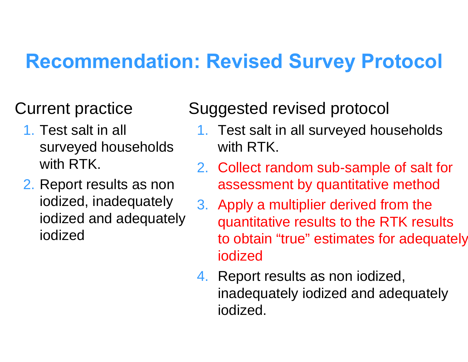### **Recommendation: Revised Survey Protocol**

#### Current practice

- 1. Test salt in all surveyed households with RTK.
- 2. Report results as non iodized, inadequately iodized and adequately iodized

#### Suggested revised protocol

- 1. Test salt in all surveyed households with RTK.
- 2. Collect random sub-sample of salt for assessment by quantitative method
- 3. Apply a multiplier derived from the quantitative results to the RTK results to obtain "true" estimates for adequatel y iodized
- 4. Report results as non iodized, inadequately iodized and adequately iodized.